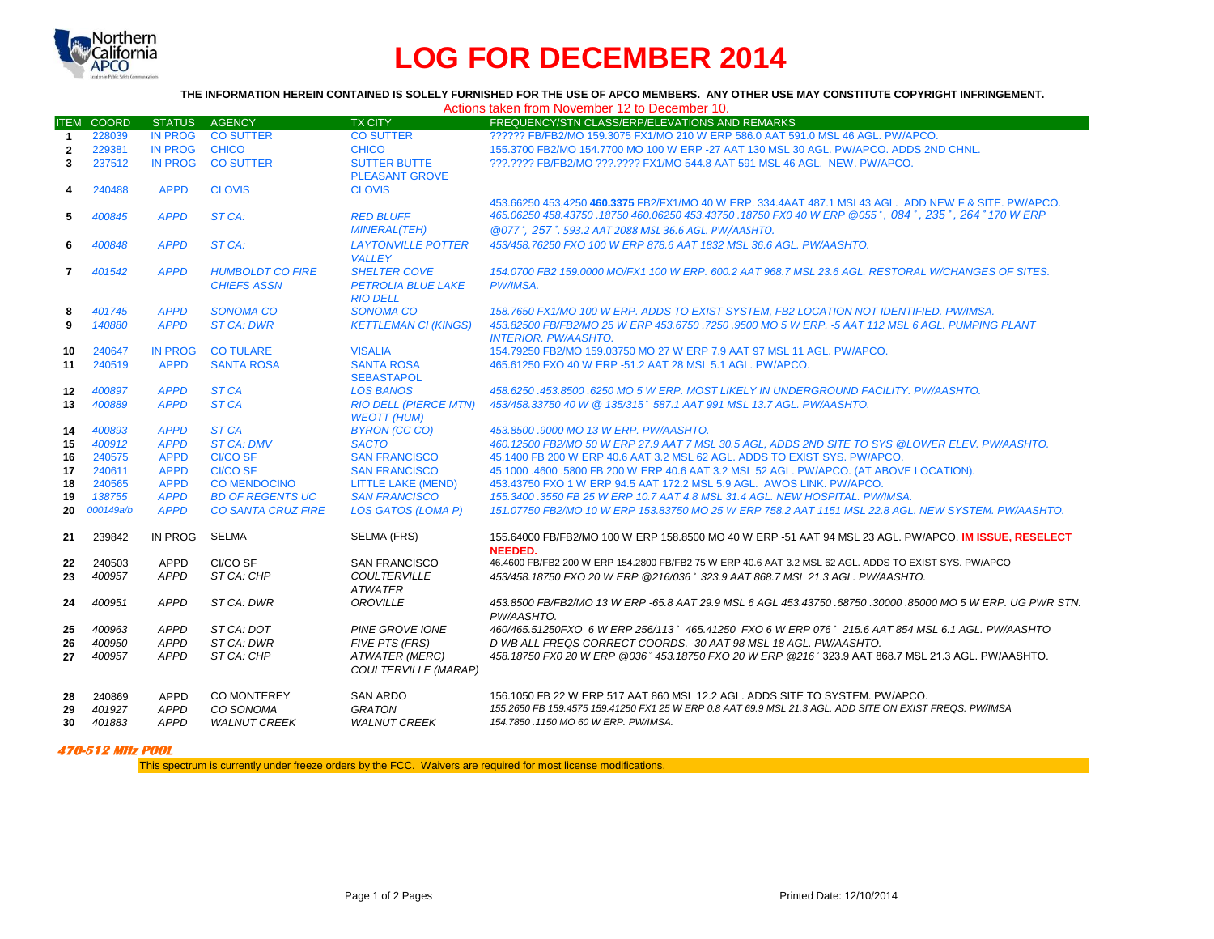

## **LOG FOR DECEMBER 2014**

## THE INFORMATION HEREIN CONTAINED IS SOLELY FURNISHED FOR THE USE OF APCO MEMBERS. ANY OTHER USE MAY CONSTITUTE COPYRIGHT INFRINGEMENT.

|                | Actions taken from November 12 to December 10. |                |                                               |                                                                     |                                                                                                                                                                                                               |  |  |  |  |
|----------------|------------------------------------------------|----------------|-----------------------------------------------|---------------------------------------------------------------------|---------------------------------------------------------------------------------------------------------------------------------------------------------------------------------------------------------------|--|--|--|--|
|                | <b>ITEM COORD</b>                              | <b>STATUS</b>  | <b>AGENCY</b>                                 | <b>TX CITY</b>                                                      | FREQUENCY/STN CLASS/ERP/ELEVATIONS AND REMARKS                                                                                                                                                                |  |  |  |  |
| $\mathbf 1$    | 228039                                         | <b>IN PROG</b> | <b>CO SUTTER</b>                              | <b>CO SUTTER</b>                                                    | ?????? FB/FB2/MO 159.3075 FX1/MO 210 W ERP 586.0 AAT 591.0 MSL 46 AGL. PW/APCO.                                                                                                                               |  |  |  |  |
| $\overline{2}$ | 229381                                         | <b>IN PROG</b> | <b>CHICO</b>                                  | <b>CHICO</b>                                                        | 155.3700 FB2/MO 154.7700 MO 100 W ERP -27 AAT 130 MSL 30 AGL, PW/APCO, ADDS 2ND CHNL.                                                                                                                         |  |  |  |  |
| 3              | 237512                                         | <b>IN PROG</b> | <b>CO SUTTER</b>                              | <b>SUTTER BUTTE</b><br><b>PLEASANT GROVE</b>                        | ???.???? FB/FB2/MO ???.???? FX1/MO 544.8 AAT 591 MSL 46 AGL. NEW. PW/APCO.                                                                                                                                    |  |  |  |  |
| 4              | 240488                                         | <b>APPD</b>    | <b>CLOVIS</b>                                 | <b>CLOVIS</b>                                                       |                                                                                                                                                                                                               |  |  |  |  |
|                |                                                |                |                                               |                                                                     | 453.66250 453.4250 460.3375 FB2/FX1/MO 40 W ERP. 334.4AAT 487.1 MSL43 AGL. ADD NEW F & SITE, PW/APCO.<br>465.06250 458.43750 .18750 460.06250 453.43750 .18750 FX0 40 W ERP @055°, 084°, 235°, 264° 170 W ERP |  |  |  |  |
| 5              | 400845                                         | <b>APPD</b>    | ST CA:                                        | <b>RED BLUFF</b><br><b>MINERAL(TEH)</b>                             | @077°, 257°, 593.2 AAT 2088 MSL 36.6 AGL, PW/AASHTO.                                                                                                                                                          |  |  |  |  |
| 6              | 400848                                         | <b>APPD</b>    | ST CA:                                        | <b>LAYTONVILLE POTTER</b><br><b>VALLEY</b>                          | 453/458.76250 FXO 100 W ERP 878.6 AAT 1832 MSL 36.6 AGL, PW/AASHTO.                                                                                                                                           |  |  |  |  |
| $\mathbf{7}$   | 401542                                         | <b>APPD</b>    | <b>HUMBOLDT CO FIRE</b><br><b>CHIEFS ASSN</b> | <b>SHELTER COVE</b><br><b>PETROLIA BLUE LAKE</b><br><b>RIO DELL</b> | 154.0700 FB2 159.0000 MO/FX1 100 W ERP. 600.2 AAT 968.7 MSL 23.6 AGL. RESTORAL W/CHANGES OF SITES.<br><b>PW/IMSA.</b>                                                                                         |  |  |  |  |
| 8              | 401745                                         | <b>APPD</b>    | <b>SONOMA CO</b>                              | <b>SONOMA CO</b>                                                    | 158.7650 FX1/MO 100 W ERP. ADDS TO EXIST SYSTEM. FB2 LOCATION NOT IDENTIFIED. PW/IMSA.                                                                                                                        |  |  |  |  |
| 9              | 140880                                         | <b>APPD</b>    | <b>ST CA: DWR</b>                             | <b>KETTLEMAN CI (KINGS)</b>                                         | 453.82500 FB/FB2/MO 25 W ERP 453.6750 .7250 .9500 MO 5 W ERP. -5 AAT 112 MSL 6 AGL. PUMPING PLANT<br><b>INTERIOR. PW/AASHTO.</b>                                                                              |  |  |  |  |
| 10             | 240647                                         | <b>IN PROG</b> | <b>CO TULARE</b>                              | <b>VISALIA</b>                                                      | 154.79250 FB2/MO 159.03750 MO 27 W ERP 7.9 AAT 97 MSL 11 AGL. PW/APCO.                                                                                                                                        |  |  |  |  |
| 11             | 240519                                         | <b>APPD</b>    | <b>SANTA ROSA</b>                             | <b>SANTA ROSA</b><br><b>SEBASTAPOL</b>                              | 465.61250 FXO 40 W ERP -51.2 AAT 28 MSL 5.1 AGL, PW/APCO.                                                                                                                                                     |  |  |  |  |
| 12             | 400897                                         | <b>APPD</b>    | ST <sub>CA</sub>                              | <b>LOS BANOS</b>                                                    | 458.6250 .453.8500 .6250 MO 5 W ERP. MOST LIKELY IN UNDERGROUND FACILITY. PW/AASHTO.                                                                                                                          |  |  |  |  |
| 13             | 400889                                         | <b>APPD</b>    | ST <sub>CA</sub>                              | <b>RIO DELL (PIERCE MTN)</b><br><b>WEOTT (HUM)</b>                  | 453/458.33750 40 W @ 135/315° 587.1 AAT 991 MSL 13.7 AGL, PW/AASHTO.                                                                                                                                          |  |  |  |  |
| 14             | 400893                                         | <b>APPD</b>    | ST <sub>CA</sub>                              | <b>BYRON (CC CO)</b>                                                | 453.8500 .9000 MO 13 W ERP. PW/AASHTO.                                                                                                                                                                        |  |  |  |  |
| 15             | 400912                                         | <b>APPD</b>    | <b>ST CA: DMV</b>                             | <b>SACTO</b>                                                        | 460.12500 FB2/MO 50 W ERP 27.9 AAT 7 MSL 30.5 AGL. ADDS 2ND SITE TO SYS @LOWER ELEV. PW/AASHTO.                                                                                                               |  |  |  |  |
| 16             | 240575                                         | <b>APPD</b>    | <b>CI/CO SF</b>                               | <b>SAN FRANCISCO</b>                                                | 45.1400 FB 200 W ERP 40.6 AAT 3.2 MSL 62 AGL. ADDS TO EXIST SYS. PW/APCO.                                                                                                                                     |  |  |  |  |
| 17             | 240611                                         | <b>APPD</b>    | <b>CI/CO SF</b>                               | <b>SAN FRANCISCO</b>                                                | 45.1000 .4600 .5800 FB 200 W ERP 40.6 AAT 3.2 MSL 52 AGL. PW/APCO. (AT ABOVE LOCATION).                                                                                                                       |  |  |  |  |
| 18             | 240565                                         | <b>APPD</b>    | <b>CO MENDOCINO</b>                           | <b>LITTLE LAKE (MEND)</b>                                           | 453.43750 FXO 1 W ERP 94.5 AAT 172.2 MSL 5.9 AGL. AWOS LINK, PW/APCO.                                                                                                                                         |  |  |  |  |
| 19             | 138755                                         | <b>APPD</b>    | <b>BD OF REGENTS UC</b>                       | <b>SAN FRANCISCO</b>                                                | 155.3400.3550 FB 25 W ERP 10.7 AAT 4.8 MSL 31.4 AGL, NEW HOSPITAL, PW/IMSA.                                                                                                                                   |  |  |  |  |
| 20             | 000149a/b                                      | <b>APPD</b>    | <b>CO SANTA CRUZ FIRE</b>                     | <b>LOS GATOS (LOMA P)</b>                                           | 151.07750 FB2/MO 10 W ERP 153.83750 MO 25 W ERP 758.2 AAT 1151 MSL 22.8 AGL. NEW SYSTEM. PW/AASHTO.                                                                                                           |  |  |  |  |
| 21             | 239842                                         | IN PROG        | SELMA                                         | SELMA (FRS)                                                         | 155.64000 FB/FB2/MO 100 W ERP 158.8500 MO 40 W ERP -51 AAT 94 MSL 23 AGL. PW/APCO. IM ISSUE. RESELECT<br>NEEDED.                                                                                              |  |  |  |  |
| 22             | 240503                                         | APPD           | CI/CO SF                                      | <b>SAN FRANCISCO</b>                                                | 46.4600 FB/FB2 200 W ERP 154.2800 FB/FB2 75 W ERP 40.6 AAT 3.2 MSL 62 AGL, ADDS TO EXIST SYS. PW/APCO                                                                                                         |  |  |  |  |
| 23             | 400957                                         | <b>APPD</b>    | ST CA: CHP                                    | <b>COULTERVILLE</b><br><b>ATWATER</b>                               | 453/458.18750 FXO 20 W ERP @216/036 ° 323.9 AAT 868.7 MSL 21.3 AGL, PW/AASHTO,                                                                                                                                |  |  |  |  |
| 24             | 400951                                         | <b>APPD</b>    | ST CA: DWR                                    | <b>OROVILLE</b>                                                     | 453.8500 FB/FB2/MO 13 W ERP -65.8 AAT 29.9 MSL 6 AGL 453.43750 .68750 .30000 .85000 MO 5 W ERP. UG PWR STN.<br>PW/AASHTO.                                                                                     |  |  |  |  |
| 25             | 400963                                         | <b>APPD</b>    | ST CA: DOT                                    | <b>PINE GROVE IONE</b>                                              | 460/465.51250FXO 6 W ERP 256/113° 465.41250 FXO 6 W ERP 076° 215.6 AAT 854 MSL 6.1 AGL. PW/AASHTO                                                                                                             |  |  |  |  |
| 26             | 400950                                         | <b>APPD</b>    | ST CA: DWR                                    | <b>FIVE PTS (FRS)</b>                                               | D WB ALL FREQS CORRECT COORDS. -30 AAT 98 MSL 18 AGL. PW/AASHTO.                                                                                                                                              |  |  |  |  |
| 27             | 400957                                         | <b>APPD</b>    | ST CA: CHP                                    | <b>ATWATER (MERC)</b><br><b>COULTERVILLE (MARAP)</b>                | 458.18750 FX0 20 W ERP @036° 453.18750 FXO 20 W ERP @216° 323.9 AAT 868.7 MSL 21.3 AGL. PW/AASHTO.                                                                                                            |  |  |  |  |
| 28             | 240869                                         | <b>APPD</b>    | CO MONTEREY                                   | <b>SAN ARDO</b>                                                     | 156.1050 FB 22 W ERP 517 AAT 860 MSL 12.2 AGL, ADDS SITE TO SYSTEM, PW/APCO.                                                                                                                                  |  |  |  |  |
| 29             | 401927                                         | <b>APPD</b>    | CO SONOMA                                     | <b>GRATON</b>                                                       | 155.2650 FB 159.4575 159.41250 FX1 25 W ERP 0.8 AAT 69.9 MSL 21.3 AGL. ADD SITE ON EXIST FREQS. PW/IMSA                                                                                                       |  |  |  |  |
| 30             | 401883                                         | APPD           | <b>WALNUT CREEK</b>                           | <b>WALNUT CREEK</b>                                                 | 154.7850 .1150 MO 60 W ERP. PW/IMSA.                                                                                                                                                                          |  |  |  |  |

## **470-512 MHz POOL**

This spectrum is currently under freeze orders by the FCC. Waivers are required for most license modifications.